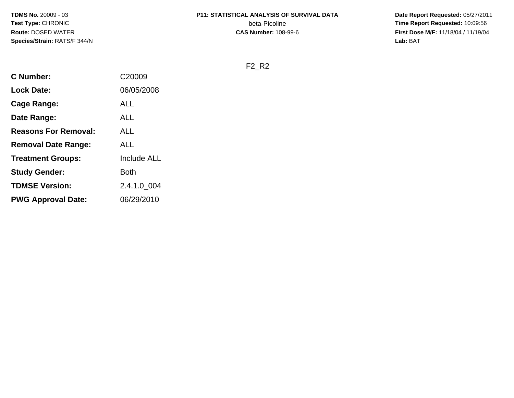**TDMS No.** 20009 - 03**Test Type:** CHRONIC**Route:** DOSED WATER**Species/Strain:** RATS/F 344/N

# **P11: STATISTICAL ANALYSIS OF SURVIVAL DATA**beta-Picoline<br>CAS Number: 108-99-6

 **Date Report Requested:** 05/27/2011 **Time Report Requested:** 10:09:56 **First Dose M/F:** 11/18/04 / 11/19/04<br>Lab: BAT **Lab:** BAT

F2\_R2

| <b>C</b> Number:            | C20009             |
|-----------------------------|--------------------|
| <b>Lock Date:</b>           | 06/05/2008         |
| Cage Range:                 | ALL                |
| Date Range:                 | <b>ALL</b>         |
| <b>Reasons For Removal:</b> | ALL                |
| <b>Removal Date Range:</b>  | <b>ALL</b>         |
| <b>Treatment Groups:</b>    | <b>Include ALL</b> |
| <b>Study Gender:</b>        | Both               |
| <b>TDMSE Version:</b>       | 2.4.1.0_004        |
| <b>PWG Approval Date:</b>   | 06/29/2010         |
|                             |                    |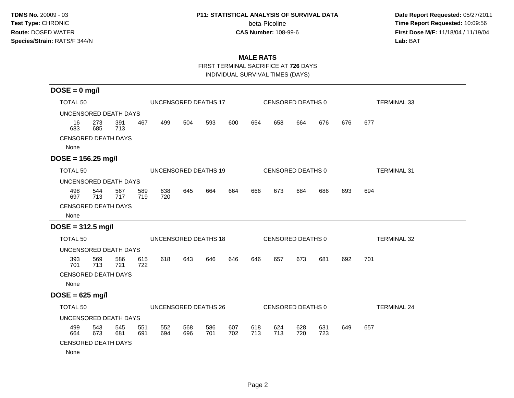#### **P11: STATISTICAL ANALYSIS OF SURVIVAL DATA**

beta-Picoline<br>CAS Number: 108-99-6

 **Date Report Requested:** 05/27/2011 **Time Report Requested:** 10:09:56 **First Dose M/F:** 11/18/04 / 11/19/04<br>**Lab:** BAT **Lab:** BAT

## **MALE RATS**

FIRST TERMINAL SACRIFICE AT **726** DAYS

INDIVIDUAL SURVIVAL TIMES (DAYS)

| $DOSE = 0$ mg/l            |                      |            |            |            |            |                      |            |            |            |                   |            |                    |                    |
|----------------------------|----------------------|------------|------------|------------|------------|----------------------|------------|------------|------------|-------------------|------------|--------------------|--------------------|
| <b>TOTAL 50</b>            | UNCENSORED DEATHS 17 |            |            |            |            |                      |            |            |            | CENSORED DEATHS 0 |            | <b>TERMINAL 33</b> |                    |
| UNCENSORED DEATH DAYS      |                      |            |            |            |            |                      |            |            |            |                   |            |                    |                    |
| 16<br>683                  | 273<br>685           | 391<br>713 | 467        | 499        | 504        | 593                  | 600        | 654        | 658        | 664               | 676        | 676                | 677                |
| <b>CENSORED DEATH DAYS</b> |                      |            |            |            |            |                      |            |            |            |                   |            |                    |                    |
| None                       |                      |            |            |            |            |                      |            |            |            |                   |            |                    |                    |
| $DOSE = 156.25$ mg/l       |                      |            |            |            |            |                      |            |            |            |                   |            |                    |                    |
| <b>TOTAL 50</b>            |                      |            |            |            |            | UNCENSORED DEATHS 19 |            |            |            | CENSORED DEATHS 0 |            |                    | <b>TERMINAL 31</b> |
| UNCENSORED DEATH DAYS      |                      |            |            |            |            |                      |            |            |            |                   |            |                    |                    |
| 498<br>697                 | 544<br>713           | 567<br>717 | 589<br>719 | 638<br>720 | 645        | 664                  | 664        | 666        | 673        | 684               | 686        | 693                | 694                |
| <b>CENSORED DEATH DAYS</b> |                      |            |            |            |            |                      |            |            |            |                   |            |                    |                    |
| None                       |                      |            |            |            |            |                      |            |            |            |                   |            |                    |                    |
| $DOSE = 312.5$ mg/l        |                      |            |            |            |            |                      |            |            |            |                   |            |                    |                    |
| TOTAL 50                   |                      |            |            |            |            | UNCENSORED DEATHS 18 |            |            |            | CENSORED DEATHS 0 |            |                    | <b>TERMINAL 32</b> |
| UNCENSORED DEATH DAYS      |                      |            |            |            |            |                      |            |            |            |                   |            |                    |                    |
| 393<br>701                 | 569<br>713           | 586<br>721 | 615<br>722 | 618        | 643        | 646                  | 646        | 646        | 657        | 673               | 681        | 692                | 701                |
| <b>CENSORED DEATH DAYS</b> |                      |            |            |            |            |                      |            |            |            |                   |            |                    |                    |
| None                       |                      |            |            |            |            |                      |            |            |            |                   |            |                    |                    |
| $DOSE = 625$ mg/l          |                      |            |            |            |            |                      |            |            |            |                   |            |                    |                    |
| TOTAL 50                   |                      |            |            |            |            | UNCENSORED DEATHS 26 |            |            |            | CENSORED DEATHS 0 |            |                    | <b>TERMINAL 24</b> |
| UNCENSORED DEATH DAYS      |                      |            |            |            |            |                      |            |            |            |                   |            |                    |                    |
| 499<br>664                 | 543<br>673           | 545<br>681 | 551<br>691 | 552<br>694 | 568<br>696 | 586<br>701           | 607<br>702 | 618<br>713 | 624<br>713 | 628<br>720        | 631<br>723 | 649                | 657                |
| <b>CENSORED DEATH DAYS</b> |                      |            |            |            |            |                      |            |            |            |                   |            |                    |                    |
| None                       |                      |            |            |            |            |                      |            |            |            |                   |            |                    |                    |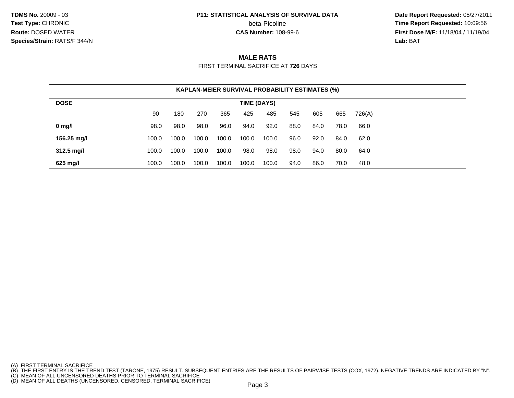**TDMS No.** 20009 - 03**Test Type:** CHRONIC**Route:** DOSED WATER**Species/Strain:** RATS/F 344/N

#### **P11: STATISTICAL ANALYSIS OF SURVIVAL DATA**

beta-Picoline<br>CAS Number: 108-99-6

 **Date Report Requested:** 05/27/2011 **Time Report Requested:** 10:09:56 **First Dose M/F:** 11/18/04 / 11/19/04<br>**Lab: BAT Lab:** BAT

### **MALE RATS**

FIRST TERMINAL SACRIFICE AT **726** DAYS

| <b>KAPLAN-MEIER SURVIVAL PROBABILITY ESTIMATES (%)</b> |             |       |       |       |       |       |      |      |      |        |  |  |
|--------------------------------------------------------|-------------|-------|-------|-------|-------|-------|------|------|------|--------|--|--|
| <b>DOSE</b>                                            | TIME (DAYS) |       |       |       |       |       |      |      |      |        |  |  |
|                                                        | 90          | 180   | 270   | 365   | 425   | 485   | 545  | 605  | 665  | 726(A) |  |  |
| $0$ mg/l                                               | 98.0        | 98.0  | 98.0  | 96.0  | 94.0  | 92.0  | 88.0 | 84.0 | 78.0 | 66.0   |  |  |
| 156.25 mg/l                                            | 100.0       | 100.0 | 100.0 | 100.0 | 100.0 | 100.0 | 96.0 | 92.0 | 84.0 | 62.0   |  |  |
| $312.5 \text{ mg/l}$                                   | 100.0       | 100.0 | 100.0 | 100.0 | 98.0  | 98.0  | 98.0 | 94.0 | 80.0 | 64.0   |  |  |
| 625 mg/l                                               | 100.0       | 100.0 | 100.0 | 100.0 | 100.0 | 100.0 | 94.0 | 86.0 | 70.0 | 48.0   |  |  |

- 
- 

<sup>(</sup>A) FIRST TERMINAL SACRIFICE<br>(B) THE FIRST ENTRY IS THE TREND TEST (TARONE, 1975) RESULT. SUBSEQUENT ENTRIES ARE THE RESULTS OF PAIRWISE TESTS (COX, 1972). NEGATIVE TRENDS ARE INDICATED BY "N".<br>(C) MEAN OF ALL UNCENSORED D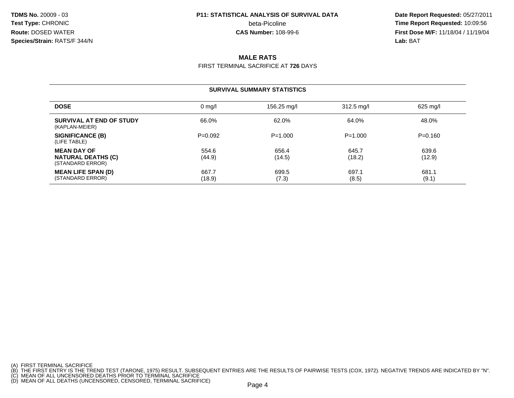**TDMS No.** 20009 - 03**Test Type:** CHRONIC beta-Picoline**Route:** DOSED WATER**Species/Strain:** RATS/F 344/N

# **P11: STATISTICAL ANALYSIS OF SURVIVAL DATA**

 **Date Report Requested:** 05/27/2011 **beta-Picoline**<br> **CAS Number:** 108-99-6<br> **CAS Number:** 108-99-6<br> **CAS Number:** 108-99-6 **First Dose M/F:** 11/18/04 / 11/19/04 Lab: BAT **Lab:** BAT

### **MALE RATS**

FIRST TERMINAL SACRIFICE AT **726** DAYS

#### **SURVIVAL SUMMARY STATISTICSDOSEE** a construction of the only 156.25 mg/l constrained and the set of the only 156.25 mg/l construction  $\frac{312.5}{\text{mg}}}$  mg/l **SURVIVAL AT END OF STUDY** 66.0%% 62.0% 62.0% 64.0% 64.0% 64.0% 64.0% (KAPLAN-MEIER)**SIGNIFICANCE (B)** P=0.092 P=1.000 P=1.000 P=0.160 (LIFE TABLE)**MEAN DAY OF** $F = \begin{bmatrix} 54.6 \\ 44.8 \end{bmatrix}$  (11.0) **NATURAL DEATHS (C))** (18.2) (18.2) (18.2) (18.2) (18.2) (STANDARD ERROR)**MEAN LIFE SPAN (D)** 667.7 $7$  699.5 697.1 681.1 (STANDARD ERROR) (18.9) $(7.3)$   $(8.5)$   $(9.1)$

(A) FIRST TERMINAL SACRIFICE

<sup>(</sup>B) THE FIRST ENTRY IS THE TREND TEST (TARONE, 1975) RESULT. SUBSEQUENT ENTRIES ARE THE RESULTS OF PAIRWISE TESTS (COX, 1972). NEGATIVE TRENDS ARE INDICATED BY "N".<br>(C) MEAN OF ALL UNCENSORED DEATHS PRIOR TO TERMINAL SACRI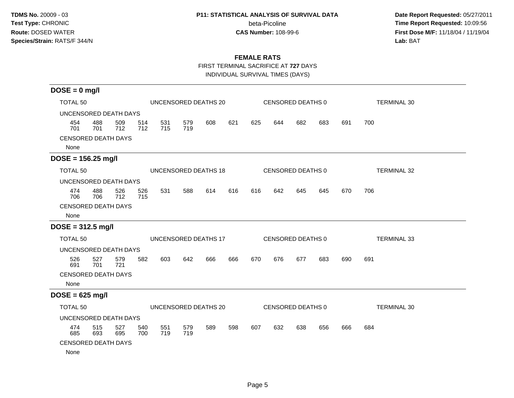#### **P11: STATISTICAL ANALYSIS OF SURVIVAL DATA**

beta-Picoline<br>CAS Number: 108-99-6

 **Date Report Requested:** 05/27/2011 **Time Report Requested:** 10:09:56 **First Dose M/F:** 11/18/04 / 11/19/04<br>**Lab:** BAT **Lab:** BAT

### **FEMALE RATS**

FIRST TERMINAL SACRIFICE AT **727** DAYS

INDIVIDUAL SURVIVAL TIMES (DAYS)

| $DOSE = 0$ mg/l                    |                      |            |            |                      |            |     |     |     |                   |                   |                    |     |                    |
|------------------------------------|----------------------|------------|------------|----------------------|------------|-----|-----|-----|-------------------|-------------------|--------------------|-----|--------------------|
| <b>TOTAL 50</b>                    | UNCENSORED DEATHS 20 |            |            |                      |            |     |     |     | CENSORED DEATHS 0 |                   | <b>TERMINAL 30</b> |     |                    |
| UNCENSORED DEATH DAYS              |                      |            |            |                      |            |     |     |     |                   |                   |                    |     |                    |
| 454<br>701                         | 488<br>701           | 509<br>712 | 514<br>712 | 531<br>715           | 579<br>719 | 608 | 621 | 625 | 644               | 682               | 683                | 691 | 700                |
| <b>CENSORED DEATH DAYS</b><br>None |                      |            |            |                      |            |     |     |     |                   |                   |                    |     |                    |
| $DOSE = 156.25$ mg/l               |                      |            |            |                      |            |     |     |     |                   |                   |                    |     |                    |
| <b>TOTAL 50</b>                    |                      |            |            | UNCENSORED DEATHS 18 |            |     |     |     |                   | CENSORED DEATHS 0 |                    |     | <b>TERMINAL 32</b> |
| UNCENSORED DEATH DAYS              |                      |            |            |                      |            |     |     |     |                   |                   |                    |     |                    |
| 474<br>706                         | 488<br>706           | 526<br>712 | 526<br>715 | 531                  | 588        | 614 | 616 | 616 | 642               | 645               | 645                | 670 | 706                |
| <b>CENSORED DEATH DAYS</b>         |                      |            |            |                      |            |     |     |     |                   |                   |                    |     |                    |
| None                               |                      |            |            |                      |            |     |     |     |                   |                   |                    |     |                    |
| $DOSE = 312.5$ mg/l                |                      |            |            |                      |            |     |     |     |                   |                   |                    |     |                    |
| <b>TOTAL 50</b>                    |                      |            |            | UNCENSORED DEATHS 17 |            |     |     |     |                   | CENSORED DEATHS 0 |                    |     | <b>TERMINAL 33</b> |
| UNCENSORED DEATH DAYS              |                      |            |            |                      |            |     |     |     |                   |                   |                    |     |                    |
| 526<br>691                         | 527<br>701           | 579<br>721 | 582        | 603                  | 642        | 666 | 666 | 670 | 676               | 677               | 683                | 690 | 691                |
| <b>CENSORED DEATH DAYS</b>         |                      |            |            |                      |            |     |     |     |                   |                   |                    |     |                    |
| None                               |                      |            |            |                      |            |     |     |     |                   |                   |                    |     |                    |
| $DOSE = 625$ mg/l                  |                      |            |            |                      |            |     |     |     |                   |                   |                    |     |                    |
| <b>TOTAL 50</b>                    |                      |            |            | UNCENSORED DEATHS 20 |            |     |     |     |                   | CENSORED DEATHS 0 |                    |     | <b>TERMINAL 30</b> |
| UNCENSORED DEATH DAYS              |                      |            |            |                      |            |     |     |     |                   |                   |                    |     |                    |
| 474<br>685                         | 515<br>693           | 527<br>695 | 540<br>700 | 551<br>719           | 579<br>719 | 589 | 598 | 607 | 632               | 638               | 656                | 666 | 684                |
| <b>CENSORED DEATH DAYS</b>         |                      |            |            |                      |            |     |     |     |                   |                   |                    |     |                    |
| None                               |                      |            |            |                      |            |     |     |     |                   |                   |                    |     |                    |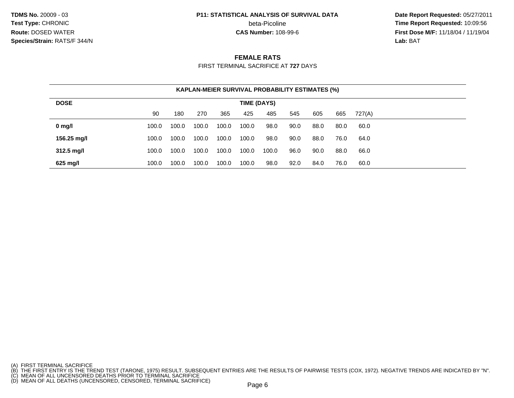**TDMS No.** 20009 - 03**Test Type:** CHRONIC**Route:** DOSED WATER**Species/Strain:** RATS/F 344/N

#### **P11: STATISTICAL ANALYSIS OF SURVIVAL DATA**

beta-Picoline<br>CAS Number: 108-99-6

 **Date Report Requested:** 05/27/2011 **Time Report Requested:** 10:09:56 **First Dose M/F:** 11/18/04 / 11/19/04<br>**Lab: BAT Lab:** BAT

#### **FEMALE RATS**

FIRST TERMINAL SACRIFICE AT **727** DAYS

| <b>KAPLAN-MEIER SURVIVAL PROBABILITY ESTIMATES (%)</b> |             |       |       |       |       |       |      |      |      |        |  |  |
|--------------------------------------------------------|-------------|-------|-------|-------|-------|-------|------|------|------|--------|--|--|
| <b>DOSE</b>                                            | TIME (DAYS) |       |       |       |       |       |      |      |      |        |  |  |
|                                                        | 90          | 180   | 270   | 365   | 425   | 485   | 545  | 605  | 665  | 727(A) |  |  |
| $0$ mg/l                                               | 100.0       | 100.0 | 100.0 | 100.0 | 100.0 | 98.0  | 90.0 | 88.0 | 80.0 | 60.0   |  |  |
| 156.25 mg/l                                            | 100.0       | 100.0 | 100.0 | 100.0 | 100.0 | 98.0  | 90.0 | 88.0 | 76.0 | 64.0   |  |  |
| $312.5 \text{ mg/l}$                                   | 100.0       | 100.0 | 100.0 | 100.0 | 100.0 | 100.0 | 96.0 | 90.0 | 88.0 | 66.0   |  |  |
| 625 mg/l                                               | 100.0       | 100.0 | 100.0 | 100.0 | 100.0 | 98.0  | 92.0 | 84.0 | 76.0 | 60.0   |  |  |

<sup>(</sup>A) FIRST TERMINAL SACRIFICE<br>(B) THE FIRST ENTRY IS THE TREND TEST (TARONE, 1975) RESULT. SUBSEQUENT ENTRIES ARE THE RESULTS OF PAIRWISE TESTS (COX, 1972). NEGATIVE TRENDS ARE INDICATED BY "N".<br>(C) MEAN OF ALL UNCENSORED D